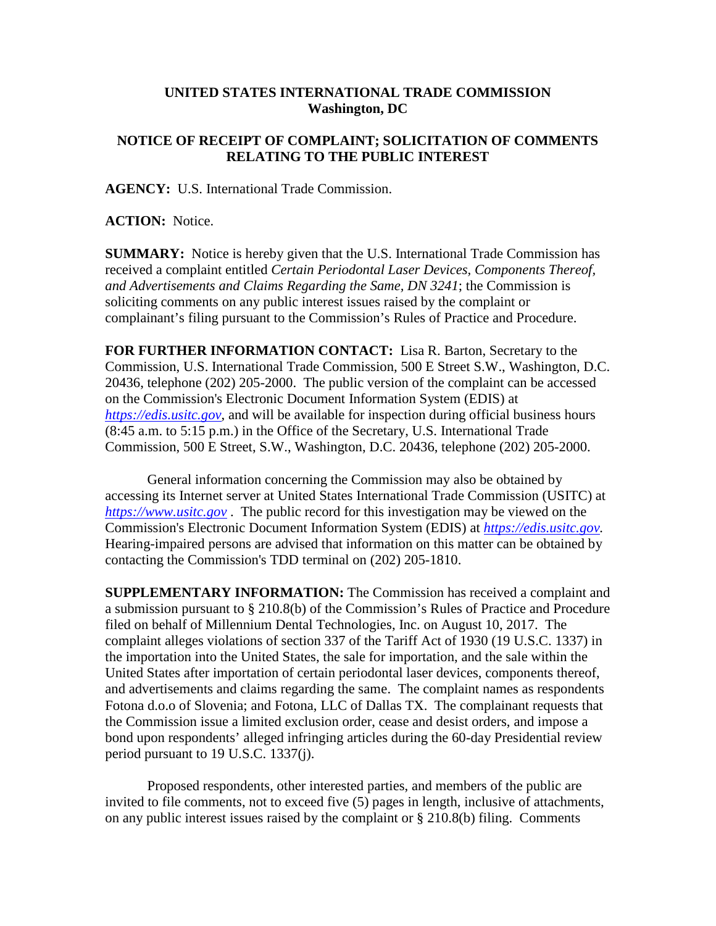## **UNITED STATES INTERNATIONAL TRADE COMMISSION Washington, DC**

## **NOTICE OF RECEIPT OF COMPLAINT; SOLICITATION OF COMMENTS RELATING TO THE PUBLIC INTEREST**

**AGENCY:** U.S. International Trade Commission.

**ACTION:** Notice.

**SUMMARY:** Notice is hereby given that the U.S. International Trade Commission has received a complaint entitled *Certain Periodontal Laser Devices, Components Thereof, and Advertisements and Claims Regarding the Same, DN 3241*; the Commission is soliciting comments on any public interest issues raised by the complaint or complainant's filing pursuant to the Commission's Rules of Practice and Procedure.

**FOR FURTHER INFORMATION CONTACT:** Lisa R. Barton, Secretary to the Commission, U.S. International Trade Commission, 500 E Street S.W., Washington, D.C. 20436, telephone (202) 205-2000. The public version of the complaint can be accessed on the Commission's Electronic Document Information System (EDIS) at *[https://edis.usitc.gov](https://edis.usitc.gov/)*, and will be available for inspection during official business hours (8:45 a.m. to 5:15 p.m.) in the Office of the Secretary, U.S. International Trade Commission, 500 E Street, S.W., Washington, D.C. 20436, telephone (202) 205-2000.

General information concerning the Commission may also be obtained by accessing its Internet server at United States International Trade Commission (USITC) at *[https://www.usitc.gov](https://www.usitc.gov/)* . The public record for this investigation may be viewed on the Commission's Electronic Document Information System (EDIS) at *[https://edis.usitc.gov.](https://edis.usitc.gov/)* Hearing-impaired persons are advised that information on this matter can be obtained by contacting the Commission's TDD terminal on (202) 205-1810.

**SUPPLEMENTARY INFORMATION:** The Commission has received a complaint and a submission pursuant to § 210.8(b) of the Commission's Rules of Practice and Procedure filed on behalf of Millennium Dental Technologies, Inc. on August 10, 2017. The complaint alleges violations of section 337 of the Tariff Act of 1930 (19 U.S.C. 1337) in the importation into the United States, the sale for importation, and the sale within the United States after importation of certain periodontal laser devices, components thereof, and advertisements and claims regarding the same. The complaint names as respondents Fotona d.o.o of Slovenia; and Fotona, LLC of Dallas TX. The complainant requests that the Commission issue a limited exclusion order, cease and desist orders, and impose a bond upon respondents' alleged infringing articles during the 60-day Presidential review period pursuant to 19 U.S.C. 1337(j).

Proposed respondents, other interested parties, and members of the public are invited to file comments, not to exceed five (5) pages in length, inclusive of attachments, on any public interest issues raised by the complaint or § 210.8(b) filing. Comments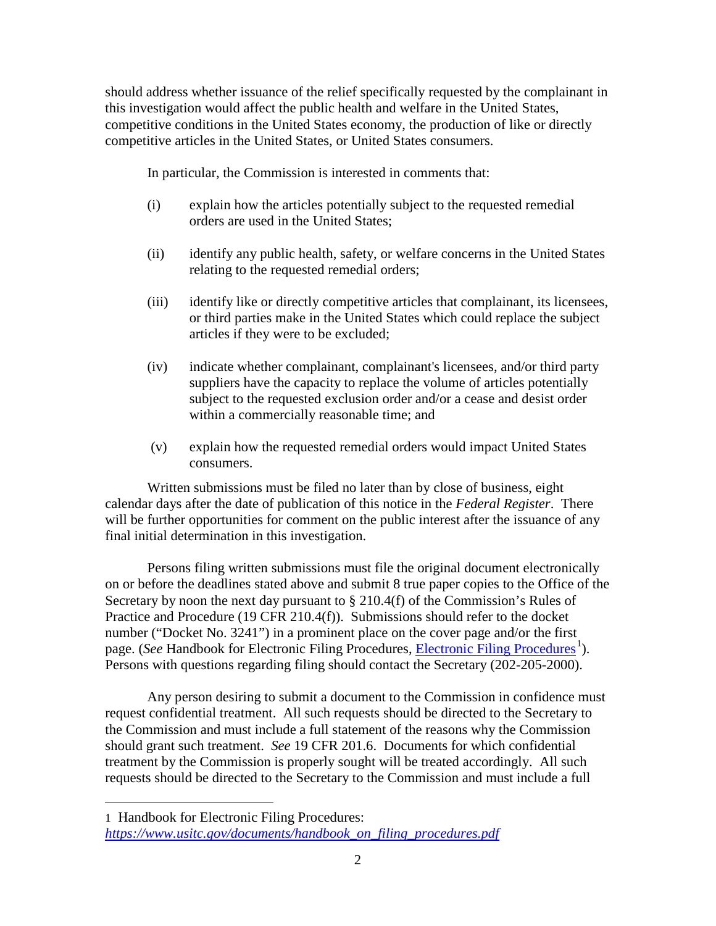should address whether issuance of the relief specifically requested by the complainant in this investigation would affect the public health and welfare in the United States, competitive conditions in the United States economy, the production of like or directly competitive articles in the United States, or United States consumers.

In particular, the Commission is interested in comments that:

- (i) explain how the articles potentially subject to the requested remedial orders are used in the United States;
- (ii) identify any public health, safety, or welfare concerns in the United States relating to the requested remedial orders;
- (iii) identify like or directly competitive articles that complainant, its licensees, or third parties make in the United States which could replace the subject articles if they were to be excluded;
- (iv) indicate whether complainant, complainant's licensees, and/or third party suppliers have the capacity to replace the volume of articles potentially subject to the requested exclusion order and/or a cease and desist order within a commercially reasonable time; and
- (v) explain how the requested remedial orders would impact United States consumers.

Written submissions must be filed no later than by close of business, eight calendar days after the date of publication of this notice in the *Federal Register*. There will be further opportunities for comment on the public interest after the issuance of any final initial determination in this investigation.

Persons filing written submissions must file the original document electronically on or before the deadlines stated above and submit 8 true paper copies to the Office of the Secretary by noon the next day pursuant to § 210.4(f) of the Commission's Rules of Practice and Procedure (19 CFR 210.4(f)). Submissions should refer to the docket number ("Docket No. 3241") in a prominent place on the cover page and/or the first page. (*See* Handbook for [Electronic Filing Procedures](https://www.usitc.gov/documents/handbook_on_filing_procedures.pdf), *Electronic Filing Procedures*<sup>[1](#page-1-0)</sup>). Persons with questions regarding filing should contact the Secretary (202-205-2000).

Any person desiring to submit a document to the Commission in confidence must request confidential treatment. All such requests should be directed to the Secretary to the Commission and must include a full statement of the reasons why the Commission should grant such treatment. *See* 19 CFR 201.6. Documents for which confidential treatment by the Commission is properly sought will be treated accordingly. All such requests should be directed to the Secretary to the Commission and must include a full

 $\overline{a}$ 

<span id="page-1-0"></span><sup>1</sup> Handbook for Electronic Filing Procedures: *[https://www.usitc.gov/documents/handbook\\_on\\_filing\\_procedures.pdf](https://www.usitc.gov/documents/handbook_on_filing_procedures.pdf)*